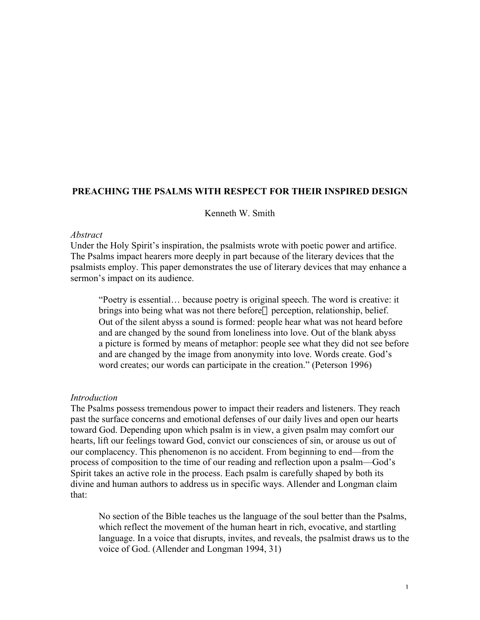## **PREACHING THE PSALMS WITH RESPECT FOR THEIR INSPIRED DESIGN**

Kenneth W. Smith

#### *Abstract*

Under the Holy Spirit's inspiration, the psalmists wrote with poetic power and artifice. The Psalms impact hearers more deeply in part because of the literary devices that the psalmists employ. This paper demonstrates the use of literary devices that may enhance a sermon's impact on its audience.

"Poetry is essential… because poetry is original speech. The word is creative: it brings into being what was not there before—perception, relationship, belief. Out of the silent abyss a sound is formed: people hear what was not heard before and are changed by the sound from loneliness into love. Out of the blank abyss a picture is formed by means of metaphor: people see what they did not see before and are changed by the image from anonymity into love. Words create. God's word creates; our words can participate in the creation." (Peterson 1996)

### *Introduction*

The Psalms possess tremendous power to impact their readers and listeners. They reach past the surface concerns and emotional defenses of our daily lives and open our hearts toward God. Depending upon which psalm is in view, a given psalm may comfort our hearts, lift our feelings toward God, convict our consciences of sin, or arouse us out of our complacency. This phenomenon is no accident. From beginning to end—from the process of composition to the time of our reading and reflection upon a psalm—God's Spirit takes an active role in the process. Each psalm is carefully shaped by both its divine and human authors to address us in specific ways. Allender and Longman claim that:

No section of the Bible teaches us the language of the soul better than the Psalms, which reflect the movement of the human heart in rich, evocative, and startling language. In a voice that disrupts, invites, and reveals, the psalmist draws us to the voice of God. (Allender and Longman 1994, 31)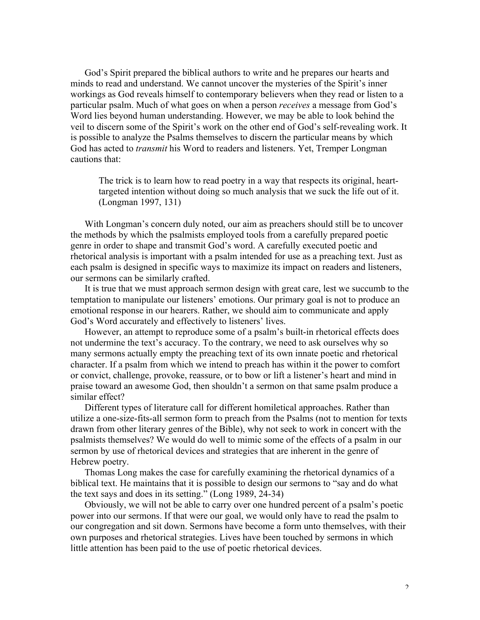God's Spirit prepared the biblical authors to write and he prepares our hearts and minds to read and understand. We cannot uncover the mysteries of the Spirit's inner workings as God reveals himself to contemporary believers when they read or listen to a particular psalm. Much of what goes on when a person *receives* a message from God's Word lies beyond human understanding. However, we may be able to look behind the veil to discern some of the Spirit's work on the other end of God's self-revealing work. It is possible to analyze the Psalms themselves to discern the particular means by which God has acted to *transmit* his Word to readers and listeners. Yet, Tremper Longman cautions that:

The trick is to learn how to read poetry in a way that respects its original, hearttargeted intention without doing so much analysis that we suck the life out of it. (Longman 1997, 131)

With Longman's concern duly noted, our aim as preachers should still be to uncover the methods by which the psalmists employed tools from a carefully prepared poetic genre in order to shape and transmit God's word. A carefully executed poetic and rhetorical analysis is important with a psalm intended for use as a preaching text. Just as each psalm is designed in specific ways to maximize its impact on readers and listeners, our sermons can be similarly crafted.

It is true that we must approach sermon design with great care, lest we succumb to the temptation to manipulate our listeners' emotions. Our primary goal is not to produce an emotional response in our hearers. Rather, we should aim to communicate and apply God's Word accurately and effectively to listeners' lives.

However, an attempt to reproduce some of a psalm's built-in rhetorical effects does not undermine the text's accuracy. To the contrary, we need to ask ourselves why so many sermons actually empty the preaching text of its own innate poetic and rhetorical character. If a psalm from which we intend to preach has within it the power to comfort or convict, challenge, provoke, reassure, or to bow or lift a listener's heart and mind in praise toward an awesome God, then shouldn't a sermon on that same psalm produce a similar effect?

Different types of literature call for different homiletical approaches. Rather than utilize a one-size-fits-all sermon form to preach from the Psalms (not to mention for texts drawn from other literary genres of the Bible), why not seek to work in concert with the psalmists themselves? We would do well to mimic some of the effects of a psalm in our sermon by use of rhetorical devices and strategies that are inherent in the genre of Hebrew poetry.

Thomas Long makes the case for carefully examining the rhetorical dynamics of a biblical text. He maintains that it is possible to design our sermons to "say and do what the text says and does in its setting." (Long 1989, 24-34)

Obviously, we will not be able to carry over one hundred percent of a psalm's poetic power into our sermons. If that were our goal, we would only have to read the psalm to our congregation and sit down. Sermons have become a form unto themselves, with their own purposes and rhetorical strategies. Lives have been touched by sermons in which little attention has been paid to the use of poetic rhetorical devices.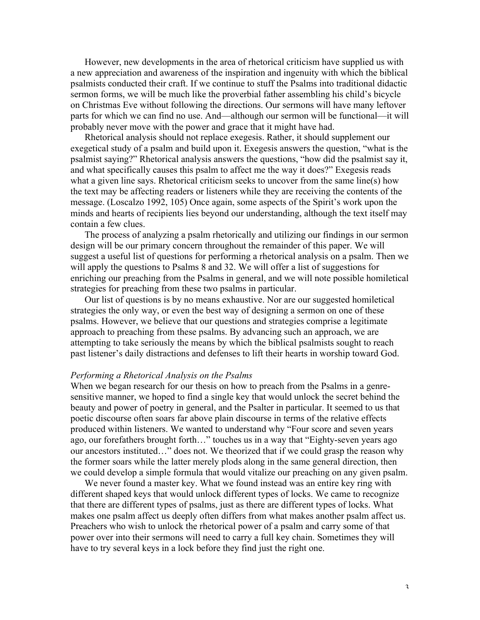However, new developments in the area of rhetorical criticism have supplied us with a new appreciation and awareness of the inspiration and ingenuity with which the biblical psalmists conducted their craft. If we continue to stuff the Psalms into traditional didactic sermon forms, we will be much like the proverbial father assembling his child's bicycle on Christmas Eve without following the directions. Our sermons will have many leftover parts for which we can find no use. And—although our sermon will be functional—it will probably never move with the power and grace that it might have had.

Rhetorical analysis should not replace exegesis. Rather, it should supplement our exegetical study of a psalm and build upon it. Exegesis answers the question, "what is the psalmist saying?" Rhetorical analysis answers the questions, "how did the psalmist say it, and what specifically causes this psalm to affect me the way it does?" Exegesis reads what a given line says. Rhetorical criticism seeks to uncover from the same line(s) how the text may be affecting readers or listeners while they are receiving the contents of the message. (Loscalzo 1992, 105) Once again, some aspects of the Spirit's work upon the minds and hearts of recipients lies beyond our understanding, although the text itself may contain a few clues.

The process of analyzing a psalm rhetorically and utilizing our findings in our sermon design will be our primary concern throughout the remainder of this paper. We will suggest a useful list of questions for performing a rhetorical analysis on a psalm. Then we will apply the questions to Psalms 8 and 32. We will offer a list of suggestions for enriching our preaching from the Psalms in general, and we will note possible homiletical strategies for preaching from these two psalms in particular.

Our list of questions is by no means exhaustive. Nor are our suggested homiletical strategies the only way, or even the best way of designing a sermon on one of these psalms. However, we believe that our questions and strategies comprise a legitimate approach to preaching from these psalms. By advancing such an approach, we are attempting to take seriously the means by which the biblical psalmists sought to reach past listener's daily distractions and defenses to lift their hearts in worship toward God.

#### *Performing a Rhetorical Analysis on the Psalms*

When we began research for our thesis on how to preach from the Psalms in a genresensitive manner, we hoped to find a single key that would unlock the secret behind the beauty and power of poetry in general, and the Psalter in particular. It seemed to us that poetic discourse often soars far above plain discourse in terms of the relative effects produced within listeners. We wanted to understand why "Four score and seven years ago, our forefathers brought forth…" touches us in a way that "Eighty-seven years ago our ancestors instituted…" does not. We theorized that if we could grasp the reason why the former soars while the latter merely plods along in the same general direction, then we could develop a simple formula that would vitalize our preaching on any given psalm.

We never found a master key. What we found instead was an entire key ring with different shaped keys that would unlock different types of locks. We came to recognize that there are different types of psalms, just as there are different types of locks. What makes one psalm affect us deeply often differs from what makes another psalm affect us. Preachers who wish to unlock the rhetorical power of a psalm and carry some of that power over into their sermons will need to carry a full key chain. Sometimes they will have to try several keys in a lock before they find just the right one.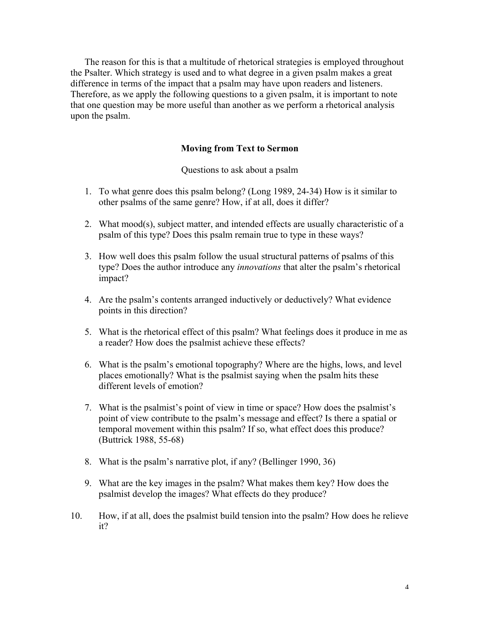The reason for this is that a multitude of rhetorical strategies is employed throughout the Psalter. Which strategy is used and to what degree in a given psalm makes a great difference in terms of the impact that a psalm may have upon readers and listeners. Therefore, as we apply the following questions to a given psalm, it is important to note that one question may be more useful than another as we perform a rhetorical analysis upon the psalm.

## **Moving from Text to Sermon**

Questions to ask about a psalm

- 1. To what genre does this psalm belong? (Long 1989, 24-34) How is it similar to other psalms of the same genre? How, if at all, does it differ?
- 2. What mood(s), subject matter, and intended effects are usually characteristic of a psalm of this type? Does this psalm remain true to type in these ways?
- 3. How well does this psalm follow the usual structural patterns of psalms of this type? Does the author introduce any *innovations* that alter the psalm's rhetorical impact?
- 4. Are the psalm's contents arranged inductively or deductively? What evidence points in this direction?
- 5. What is the rhetorical effect of this psalm? What feelings does it produce in me as a reader? How does the psalmist achieve these effects?
- 6. What is the psalm's emotional topography? Where are the highs, lows, and level places emotionally? What is the psalmist saying when the psalm hits these different levels of emotion?
- 7. What is the psalmist's point of view in time or space? How does the psalmist's point of view contribute to the psalm's message and effect? Is there a spatial or temporal movement within this psalm? If so, what effect does this produce? (Buttrick 1988, 55-68)
- 8. What is the psalm's narrative plot, if any? (Bellinger 1990, 36)
- 9. What are the key images in the psalm? What makes them key? How does the psalmist develop the images? What effects do they produce?
- 10. How, if at all, does the psalmist build tension into the psalm? How does he relieve it?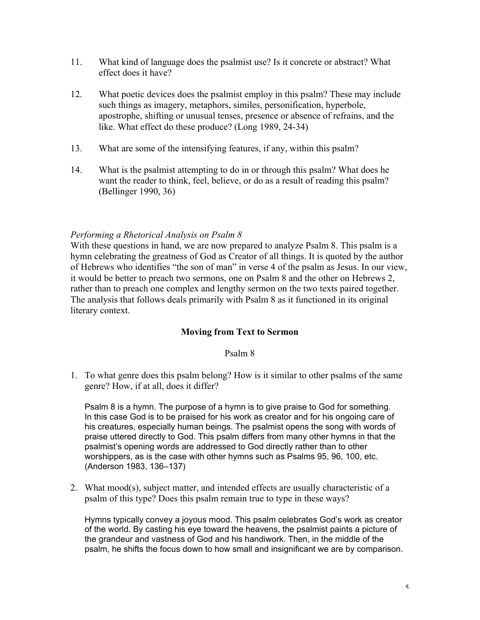- 11. What kind of language does the psalmist use? Is it concrete or abstract? What effect does it have?
- 12. What poetic devices does the psalmist employ in this psalm? These may include such things as imagery, metaphors, similes, personification, hyperbole, apostrophe, shifting or unusual tenses, presence or absence of refrains, and the like. What effect do these produce? (Long 1989, 24-34)
- 13. What are some of the intensifying features, if any, within this psalm?
- 14. What is the psalmist attempting to do in or through this psalm? What does he want the reader to think, feel, believe, or do as a result of reading this psalm? (Bellinger 1990, 36)

# *Performing a Rhetorical Analysis on Psalm 8*

With these questions in hand, we are now prepared to analyze Psalm 8. This psalm is a hymn celebrating the greatness of God as Creator of all things. It is quoted by the author of Hebrews who identifies "the son of man" in verse 4 of the psalm as Jesus. In our view, it would be better to preach two sermons, one on Psalm 8 and the other on Hebrews 2, rather than to preach one complex and lengthy sermon on the two texts paired together. The analysis that follows deals primarily with Psalm 8 as it functioned in its original literary context.

# **Moving from Text to Sermon**

Psalm 8

1. To what genre does this psalm belong? How is it similar to other psalms of the same genre? How, if at all, does it differ?

Psalm 8 is a hymn. The purpose of a hymn is to give praise to God for something. In this case God is to be praised for his work as creator and for his ongoing care of his creatures, especially human beings. The psalmist opens the song with words of praise uttered directly to God. This psalm differs from many other hymns in that the psalmist's opening words are addressed to God directly rather than to other worshippers, as is the case with other hymns such as Psalms 95, 96, 100, etc. (Anderson 1983, 136–137)

2. What mood(s), subject matter, and intended effects are usually characteristic of a psalm of this type? Does this psalm remain true to type in these ways?

Hymns typically convey a joyous mood. This psalm celebrates God's work as creator of the world. By casting his eye toward the heavens, the psalmist paints a picture of the grandeur and vastness of God and his handiwork. Then, in the middle of the psalm, he shifts the focus down to how small and insignificant we are by comparison.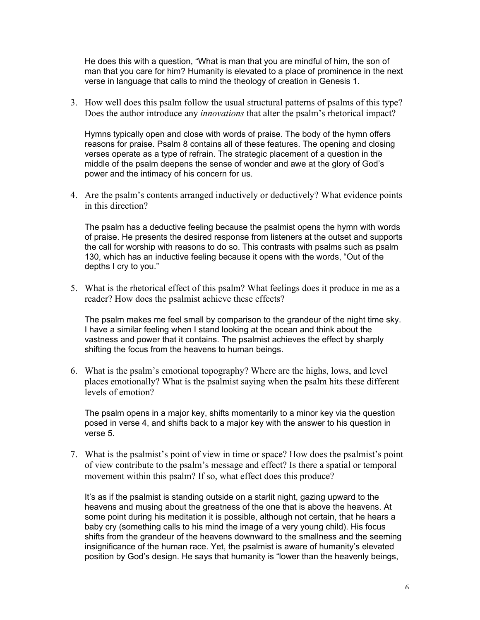He does this with a question, "What is man that you are mindful of him, the son of man that you care for him? Humanity is elevated to a place of prominence in the next verse in language that calls to mind the theology of creation in Genesis 1.

3. How well does this psalm follow the usual structural patterns of psalms of this type? Does the author introduce any *innovations* that alter the psalm's rhetorical impact?

Hymns typically open and close with words of praise. The body of the hymn offers reasons for praise. Psalm 8 contains all of these features. The opening and closing verses operate as a type of refrain. The strategic placement of a question in the middle of the psalm deepens the sense of wonder and awe at the glory of God's power and the intimacy of his concern for us.

4. Are the psalm's contents arranged inductively or deductively? What evidence points in this direction?

The psalm has a deductive feeling because the psalmist opens the hymn with words of praise. He presents the desired response from listeners at the outset and supports the call for worship with reasons to do so. This contrasts with psalms such as psalm 130, which has an inductive feeling because it opens with the words, "Out of the depths I cry to you."

5. What is the rhetorical effect of this psalm? What feelings does it produce in me as a reader? How does the psalmist achieve these effects?

The psalm makes me feel small by comparison to the grandeur of the night time sky. I have a similar feeling when I stand looking at the ocean and think about the vastness and power that it contains. The psalmist achieves the effect by sharply shifting the focus from the heavens to human beings.

6. What is the psalm's emotional topography? Where are the highs, lows, and level places emotionally? What is the psalmist saying when the psalm hits these different levels of emotion?

The psalm opens in a major key, shifts momentarily to a minor key via the question posed in verse 4, and shifts back to a major key with the answer to his question in verse 5.

7. What is the psalmist's point of view in time or space? How does the psalmist's point of view contribute to the psalm's message and effect? Is there a spatial or temporal movement within this psalm? If so, what effect does this produce?

It's as if the psalmist is standing outside on a starlit night, gazing upward to the heavens and musing about the greatness of the one that is above the heavens. At some point during his meditation it is possible, although not certain, that he hears a baby cry (something calls to his mind the image of a very young child). His focus shifts from the grandeur of the heavens downward to the smallness and the seeming insignificance of the human race. Yet, the psalmist is aware of humanity's elevated position by God's design. He says that humanity is "lower than the heavenly beings,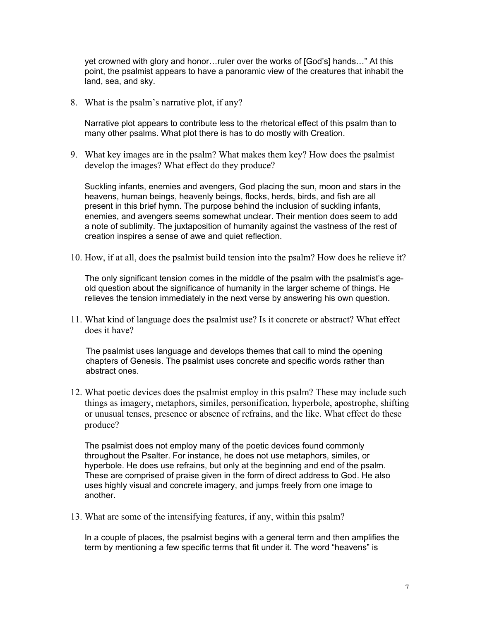yet crowned with glory and honor…ruler over the works of [God's] hands…" At this point, the psalmist appears to have a panoramic view of the creatures that inhabit the land, sea, and sky.

8. What is the psalm's narrative plot, if any?

Narrative plot appears to contribute less to the rhetorical effect of this psalm than to many other psalms. What plot there is has to do mostly with Creation.

9. What key images are in the psalm? What makes them key? How does the psalmist develop the images? What effect do they produce?

Suckling infants, enemies and avengers, God placing the sun, moon and stars in the heavens, human beings, heavenly beings, flocks, herds, birds, and fish are all present in this brief hymn. The purpose behind the inclusion of suckling infants, enemies, and avengers seems somewhat unclear. Their mention does seem to add a note of sublimity. The juxtaposition of humanity against the vastness of the rest of creation inspires a sense of awe and quiet reflection.

10. How, if at all, does the psalmist build tension into the psalm? How does he relieve it?

The only significant tension comes in the middle of the psalm with the psalmist's ageold question about the significance of humanity in the larger scheme of things. He relieves the tension immediately in the next verse by answering his own question.

11. What kind of language does the psalmist use? Is it concrete or abstract? What effect does it have?

The psalmist uses language and develops themes that call to mind the opening chapters of Genesis. The psalmist uses concrete and specific words rather than abstract ones.

12. What poetic devices does the psalmist employ in this psalm? These may include such things as imagery, metaphors, similes, personification, hyperbole, apostrophe, shifting or unusual tenses, presence or absence of refrains, and the like. What effect do these produce?

The psalmist does not employ many of the poetic devices found commonly throughout the Psalter. For instance, he does not use metaphors, similes, or hyperbole. He does use refrains, but only at the beginning and end of the psalm. These are comprised of praise given in the form of direct address to God. He also uses highly visual and concrete imagery, and jumps freely from one image to another.

13. What are some of the intensifying features, if any, within this psalm?

In a couple of places, the psalmist begins with a general term and then amplifies the term by mentioning a few specific terms that fit under it. The word "heavens" is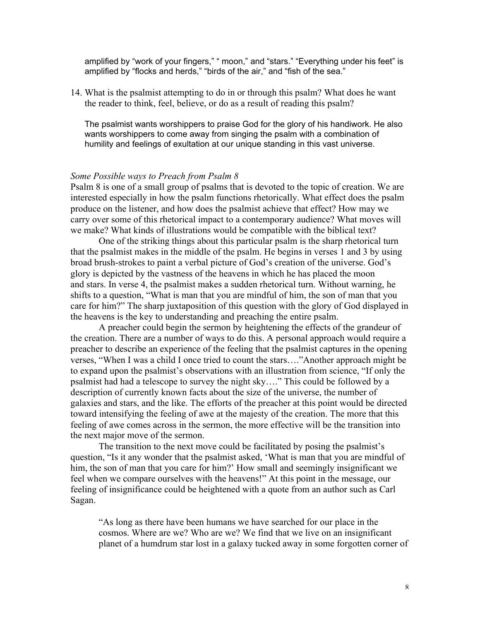amplified by "work of your fingers," " moon," and "stars." "Everything under his feet" is amplified by "flocks and herds," "birds of the air," and "fish of the sea."

14. What is the psalmist attempting to do in or through this psalm? What does he want the reader to think, feel, believe, or do as a result of reading this psalm?

The psalmist wants worshippers to praise God for the glory of his handiwork. He also wants worshippers to come away from singing the psalm with a combination of humility and feelings of exultation at our unique standing in this vast universe.

#### *Some Possible ways to Preach from Psalm 8*

Psalm 8 is one of a small group of psalms that is devoted to the topic of creation. We are interested especially in how the psalm functions rhetorically. What effect does the psalm produce on the listener, and how does the psalmist achieve that effect? How may we carry over some of this rhetorical impact to a contemporary audience? What moves will we make? What kinds of illustrations would be compatible with the biblical text?

One of the striking things about this particular psalm is the sharp rhetorical turn that the psalmist makes in the middle of the psalm. He begins in verses 1 and 3 by using broad brush-strokes to paint a verbal picture of God's creation of the universe. God's glory is depicted by the vastness of the heavens in which he has placed the moon and stars. In verse 4, the psalmist makes a sudden rhetorical turn. Without warning, he shifts to a question, "What is man that you are mindful of him, the son of man that you care for him?" The sharp juxtaposition of this question with the glory of God displayed in the heavens is the key to understanding and preaching the entire psalm.

A preacher could begin the sermon by heightening the effects of the grandeur of the creation. There are a number of ways to do this. A personal approach would require a preacher to describe an experience of the feeling that the psalmist captures in the opening verses, "When I was a child I once tried to count the stars…."Another approach might be to expand upon the psalmist's observations with an illustration from science, "If only the psalmist had had a telescope to survey the night sky…." This could be followed by a description of currently known facts about the size of the universe, the number of galaxies and stars, and the like. The efforts of the preacher at this point would be directed toward intensifying the feeling of awe at the majesty of the creation. The more that this feeling of awe comes across in the sermon, the more effective will be the transition into the next major move of the sermon.

The transition to the next move could be facilitated by posing the psalmist's question, "Is it any wonder that the psalmist asked, 'What is man that you are mindful of him, the son of man that you care for him?' How small and seemingly insignificant we feel when we compare ourselves with the heavens!" At this point in the message, our feeling of insignificance could be heightened with a quote from an author such as Carl Sagan.

"As long as there have been humans we have searched for our place in the cosmos. Where are we? Who are we? We find that we live on an insignificant planet of a humdrum star lost in a galaxy tucked away in some forgotten corner of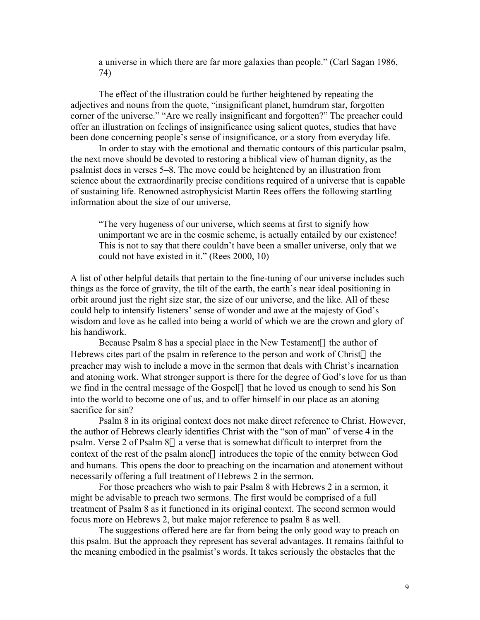a universe in which there are far more galaxies than people." (Carl Sagan 1986, 74)

The effect of the illustration could be further heightened by repeating the adjectives and nouns from the quote, "insignificant planet, humdrum star, forgotten corner of the universe." "Are we really insignificant and forgotten?" The preacher could offer an illustration on feelings of insignificance using salient quotes, studies that have been done concerning people's sense of insignificance, or a story from everyday life.

In order to stay with the emotional and thematic contours of this particular psalm, the next move should be devoted to restoring a biblical view of human dignity, as the psalmist does in verses 5–8. The move could be heightened by an illustration from science about the extraordinarily precise conditions required of a universe that is capable of sustaining life. Renowned astrophysicist Martin Rees offers the following startling information about the size of our universe,

"The very hugeness of our universe, which seems at first to signify how unimportant we are in the cosmic scheme, is actually entailed by our existence! This is not to say that there couldn't have been a smaller universe, only that we could not have existed in it." (Rees 2000, 10)

A list of other helpful details that pertain to the fine-tuning of our universe includes such things as the force of gravity, the tilt of the earth, the earth's near ideal positioning in orbit around just the right size star, the size of our universe, and the like. All of these could help to intensify listeners' sense of wonder and awe at the majesty of God's wisdom and love as he called into being a world of which we are the crown and glory of his handiwork.

Because Psalm 8 has a special place in the New Testament—the author of Hebrews cites part of the psalm in reference to the person and work of Christ—the preacher may wish to include a move in the sermon that deals with Christ's incarnation and atoning work. What stronger support is there for the degree of God's love for us than we find in the central message of the Gospel—that he loved us enough to send his Son into the world to become one of us, and to offer himself in our place as an atoning sacrifice for sin?

Psalm 8 in its original context does not make direct reference to Christ. However, the author of Hebrews clearly identifies Christ with the "son of man" of verse 4 in the psalm. Verse 2 of Psalm 8—a verse that is somewhat difficult to interpret from the context of the rest of the psalm alone—introduces the topic of the enmity between God and humans. This opens the door to preaching on the incarnation and atonement without necessarily offering a full treatment of Hebrews 2 in the sermon.

For those preachers who wish to pair Psalm 8 with Hebrews 2 in a sermon, it might be advisable to preach two sermons. The first would be comprised of a full treatment of Psalm 8 as it functioned in its original context. The second sermon would focus more on Hebrews 2, but make major reference to psalm 8 as well.

The suggestions offered here are far from being the only good way to preach on this psalm. But the approach they represent has several advantages. It remains faithful to the meaning embodied in the psalmist's words. It takes seriously the obstacles that the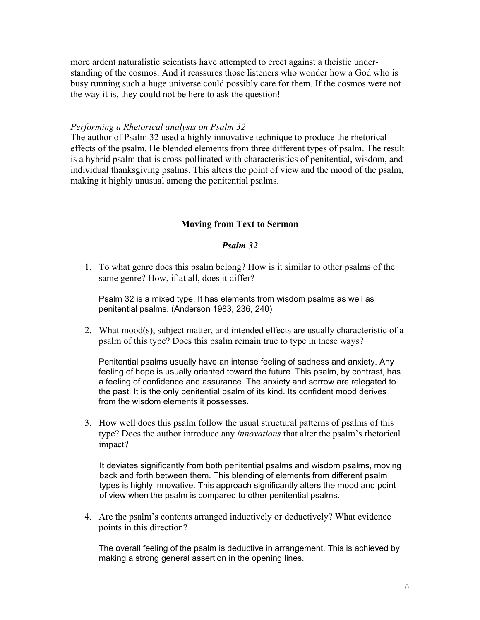more ardent naturalistic scientists have attempted to erect against a theistic understanding of the cosmos. And it reassures those listeners who wonder how a God who is busy running such a huge universe could possibly care for them. If the cosmos were not the way it is, they could not be here to ask the question!

## *Performing a Rhetorical analysis on Psalm 32*

The author of Psalm 32 used a highly innovative technique to produce the rhetorical effects of the psalm. He blended elements from three different types of psalm. The result is a hybrid psalm that is cross-pollinated with characteristics of penitential, wisdom, and individual thanksgiving psalms. This alters the point of view and the mood of the psalm, making it highly unusual among the penitential psalms.

# **Moving from Text to Sermon**

# *Psalm 32*

1. To what genre does this psalm belong? How is it similar to other psalms of the same genre? How, if at all, does it differ?

Psalm 32 is a mixed type. It has elements from wisdom psalms as well as penitential psalms. (Anderson 1983, 236, 240)

2. What mood(s), subject matter, and intended effects are usually characteristic of a psalm of this type? Does this psalm remain true to type in these ways?

Penitential psalms usually have an intense feeling of sadness and anxiety. Any feeling of hope is usually oriented toward the future. This psalm, by contrast, has a feeling of confidence and assurance. The anxiety and sorrow are relegated to the past. It is the only penitential psalm of its kind. Its confident mood derives from the wisdom elements it possesses.

3. How well does this psalm follow the usual structural patterns of psalms of this type? Does the author introduce any *innovations* that alter the psalm's rhetorical impact?

It deviates significantly from both penitential psalms and wisdom psalms, moving back and forth between them. This blending of elements from different psalm types is highly innovative. This approach significantly alters the mood and point of view when the psalm is compared to other penitential psalms.

4. Are the psalm's contents arranged inductively or deductively? What evidence points in this direction?

The overall feeling of the psalm is deductive in arrangement. This is achieved by making a strong general assertion in the opening lines.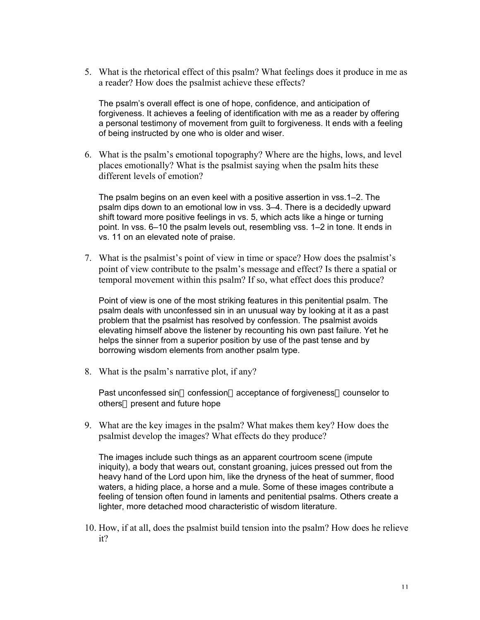5. What is the rhetorical effect of this psalm? What feelings does it produce in me as a reader? How does the psalmist achieve these effects?

The psalm's overall effect is one of hope, confidence, and anticipation of forgiveness. It achieves a feeling of identification with me as a reader by offering a personal testimony of movement from guilt to forgiveness. It ends with a feeling of being instructed by one who is older and wiser.

6. What is the psalm's emotional topography? Where are the highs, lows, and level places emotionally? What is the psalmist saying when the psalm hits these different levels of emotion?

The psalm begins on an even keel with a positive assertion in vss.1–2. The psalm dips down to an emotional low in vss. 3–4. There is a decidedly upward shift toward more positive feelings in vs. 5, which acts like a hinge or turning point. In vss. 6–10 the psalm levels out, resembling vss. 1–2 in tone. It ends in vs. 11 on an elevated note of praise.

7. What is the psalmist's point of view in time or space? How does the psalmist's point of view contribute to the psalm's message and effect? Is there a spatial or temporal movement within this psalm? If so, what effect does this produce?

Point of view is one of the most striking features in this penitential psalm. The psalm deals with unconfessed sin in an unusual way by looking at it as a past problem that the psalmist has resolved by confession. The psalmist avoids elevating himself above the listener by recounting his own past failure. Yet he helps the sinner from a superior position by use of the past tense and by borrowing wisdom elements from another psalm type.

8. What is the psalm's narrative plot, if any?

Past unconfessed sin→confession→acceptance of forgiveness→counselor to  $others \rightarrow present$  and future hope

9. What are the key images in the psalm? What makes them key? How does the psalmist develop the images? What effects do they produce?

The images include such things as an apparent courtroom scene (impute iniquity), a body that wears out, constant groaning, juices pressed out from the heavy hand of the Lord upon him, like the dryness of the heat of summer, flood waters, a hiding place, a horse and a mule. Some of these images contribute a feeling of tension often found in laments and penitential psalms. Others create a lighter, more detached mood characteristic of wisdom literature.

10. How, if at all, does the psalmist build tension into the psalm? How does he relieve it?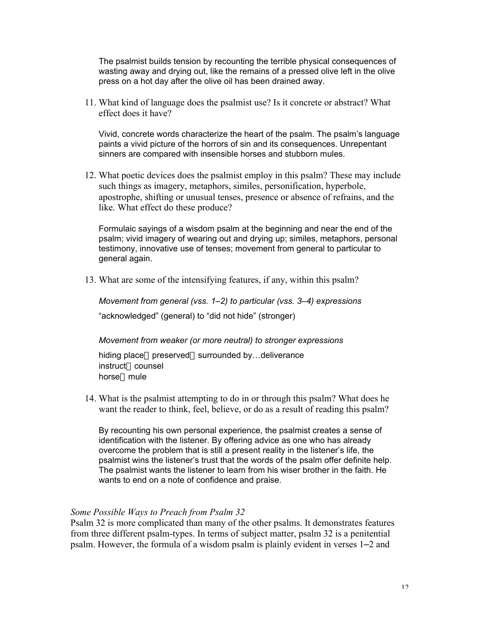The psalmist builds tension by recounting the terrible physical consequences of wasting away and drying out, like the remains of a pressed olive left in the olive press on a hot day after the olive oil has been drained away.

11. What kind of language does the psalmist use? Is it concrete or abstract? What effect does it have?

Vivid, concrete words characterize the heart of the psalm. The psalm's language paints a vivid picture of the horrors of sin and its consequences. Unrepentant sinners are compared with insensible horses and stubborn mules.

12. What poetic devices does the psalmist employ in this psalm? These may include such things as imagery, metaphors, similes, personification, hyperbole, apostrophe, shifting or unusual tenses, presence or absence of refrains, and the like. What effect do these produce?

Formulaic sayings of a wisdom psalm at the beginning and near the end of the psalm; vivid imagery of wearing out and drying up; similes, metaphors, personal testimony, innovative use of tenses; movement from general to particular to general again.

13. What are some of the intensifying features, if any, within this psalm?

*Movement from general (vss. 1–2) to particular (vss. 3–4) expressions* "acknowledged" (general) to "did not hide" (stronger)

*Movement from weaker (or more neutral) to stronger expressions* hiding place $\rightarrow$ preserved $\rightarrow$ surrounded by…deliverance instruct→counsel

horse $\rightarrow$ mule

14. What is the psalmist attempting to do in or through this psalm? What does he want the reader to think, feel, believe, or do as a result of reading this psalm?

By recounting his own personal experience, the psalmist creates a sense of identification with the listener. By offering advice as one who has already overcome the problem that is still a present reality in the listener's life, the psalmist wins the listener's trust that the words of the psalm offer definite help. The psalmist wants the listener to learn from his wiser brother in the faith. He wants to end on a note of confidence and praise.

# *Some Possible Ways to Preach from Psalm 32*

Psalm 32 is more complicated than many of the other psalms. It demonstrates features from three different psalm-types. In terms of subject matter, psalm 32 is a penitential psalm. However, the formula of a wisdom psalm is plainly evident in verses 1–2 and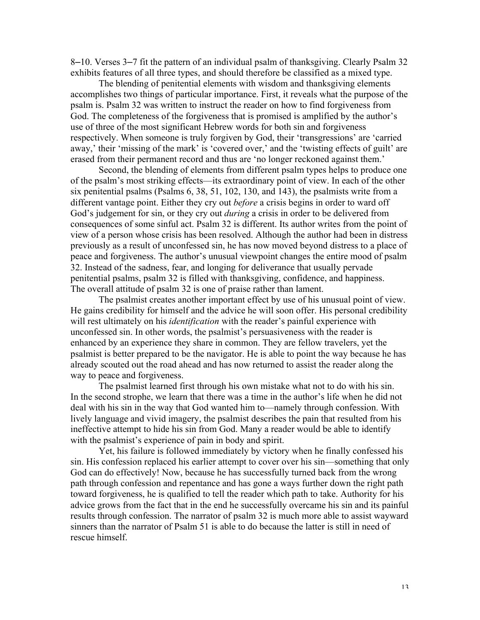8–10. Verses 3–7 fit the pattern of an individual psalm of thanksgiving. Clearly Psalm 32 exhibits features of all three types, and should therefore be classified as a mixed type.

The blending of penitential elements with wisdom and thanksgiving elements accomplishes two things of particular importance. First, it reveals what the purpose of the psalm is. Psalm 32 was written to instruct the reader on how to find forgiveness from God. The completeness of the forgiveness that is promised is amplified by the author's use of three of the most significant Hebrew words for both sin and forgiveness respectively. When someone is truly forgiven by God, their 'transgressions' are 'carried away,' their 'missing of the mark' is 'covered over,' and the 'twisting effects of guilt' are erased from their permanent record and thus are 'no longer reckoned against them.'

Second, the blending of elements from different psalm types helps to produce one of the psalm's most striking effects—its extraordinary point of view. In each of the other six penitential psalms (Psalms 6, 38, 51, 102, 130, and 143), the psalmists write from a different vantage point. Either they cry out *before* a crisis begins in order to ward off God's judgement for sin, or they cry out *during* a crisis in order to be delivered from consequences of some sinful act. Psalm 32 is different. Its author writes from the point of view of a person whose crisis has been resolved. Although the author had been in distress previously as a result of unconfessed sin, he has now moved beyond distress to a place of peace and forgiveness. The author's unusual viewpoint changes the entire mood of psalm 32. Instead of the sadness, fear, and longing for deliverance that usually pervade penitential psalms, psalm 32 is filled with thanksgiving, confidence, and happiness. The overall attitude of psalm 32 is one of praise rather than lament.

The psalmist creates another important effect by use of his unusual point of view. He gains credibility for himself and the advice he will soon offer. His personal credibility will rest ultimately on his *identification* with the reader's painful experience with unconfessed sin. In other words, the psalmist's persuasiveness with the reader is enhanced by an experience they share in common. They are fellow travelers, yet the psalmist is better prepared to be the navigator. He is able to point the way because he has already scouted out the road ahead and has now returned to assist the reader along the way to peace and forgiveness.

The psalmist learned first through his own mistake what not to do with his sin. In the second strophe, we learn that there was a time in the author's life when he did not deal with his sin in the way that God wanted him to—namely through confession. With lively language and vivid imagery, the psalmist describes the pain that resulted from his ineffective attempt to hide his sin from God. Many a reader would be able to identify with the psalmist's experience of pain in body and spirit.

Yet, his failure is followed immediately by victory when he finally confessed his sin. His confession replaced his earlier attempt to cover over his sin—something that only God can do effectively! Now, because he has successfully turned back from the wrong path through confession and repentance and has gone a ways further down the right path toward forgiveness, he is qualified to tell the reader which path to take. Authority for his advice grows from the fact that in the end he successfully overcame his sin and its painful results through confession. The narrator of psalm 32 is much more able to assist wayward sinners than the narrator of Psalm 51 is able to do because the latter is still in need of rescue himself.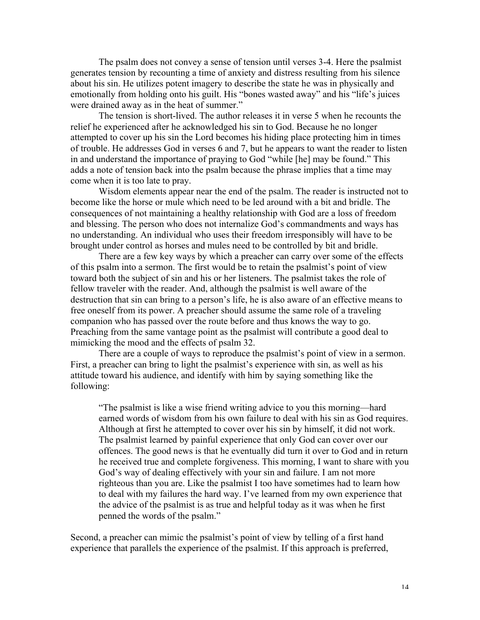The psalm does not convey a sense of tension until verses 3-4. Here the psalmist generates tension by recounting a time of anxiety and distress resulting from his silence about his sin. He utilizes potent imagery to describe the state he was in physically and emotionally from holding onto his guilt. His "bones wasted away" and his "life's juices were drained away as in the heat of summer."

The tension is short-lived. The author releases it in verse 5 when he recounts the relief he experienced after he acknowledged his sin to God. Because he no longer attempted to cover up his sin the Lord becomes his hiding place protecting him in times of trouble. He addresses God in verses 6 and 7, but he appears to want the reader to listen in and understand the importance of praying to God "while [he] may be found." This adds a note of tension back into the psalm because the phrase implies that a time may come when it is too late to pray.

Wisdom elements appear near the end of the psalm. The reader is instructed not to become like the horse or mule which need to be led around with a bit and bridle. The consequences of not maintaining a healthy relationship with God are a loss of freedom and blessing. The person who does not internalize God's commandments and ways has no understanding. An individual who uses their freedom irresponsibly will have to be brought under control as horses and mules need to be controlled by bit and bridle.

There are a few key ways by which a preacher can carry over some of the effects of this psalm into a sermon. The first would be to retain the psalmist's point of view toward both the subject of sin and his or her listeners. The psalmist takes the role of fellow traveler with the reader. And, although the psalmist is well aware of the destruction that sin can bring to a person's life, he is also aware of an effective means to free oneself from its power. A preacher should assume the same role of a traveling companion who has passed over the route before and thus knows the way to go. Preaching from the same vantage point as the psalmist will contribute a good deal to mimicking the mood and the effects of psalm 32.

There are a couple of ways to reproduce the psalmist's point of view in a sermon. First, a preacher can bring to light the psalmist's experience with sin, as well as his attitude toward his audience, and identify with him by saying something like the following:

"The psalmist is like a wise friend writing advice to you this morning—hard earned words of wisdom from his own failure to deal with his sin as God requires. Although at first he attempted to cover over his sin by himself, it did not work. The psalmist learned by painful experience that only God can cover over our offences. The good news is that he eventually did turn it over to God and in return he received true and complete forgiveness. This morning, I want to share with you God's way of dealing effectively with your sin and failure. I am not more righteous than you are. Like the psalmist I too have sometimes had to learn how to deal with my failures the hard way. I've learned from my own experience that the advice of the psalmist is as true and helpful today as it was when he first penned the words of the psalm."

Second, a preacher can mimic the psalmist's point of view by telling of a first hand experience that parallels the experience of the psalmist. If this approach is preferred,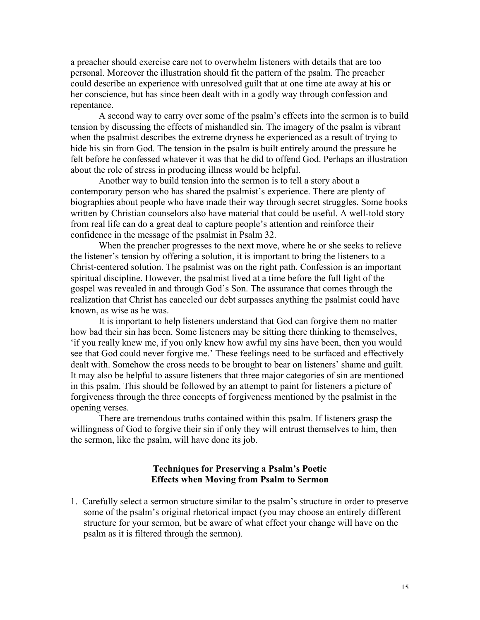a preacher should exercise care not to overwhelm listeners with details that are too personal. Moreover the illustration should fit the pattern of the psalm. The preacher could describe an experience with unresolved guilt that at one time ate away at his or her conscience, but has since been dealt with in a godly way through confession and repentance.

A second way to carry over some of the psalm's effects into the sermon is to build tension by discussing the effects of mishandled sin. The imagery of the psalm is vibrant when the psalmist describes the extreme dryness he experienced as a result of trying to hide his sin from God. The tension in the psalm is built entirely around the pressure he felt before he confessed whatever it was that he did to offend God. Perhaps an illustration about the role of stress in producing illness would be helpful.

Another way to build tension into the sermon is to tell a story about a contemporary person who has shared the psalmist's experience. There are plenty of biographies about people who have made their way through secret struggles. Some books written by Christian counselors also have material that could be useful. A well-told story from real life can do a great deal to capture people's attention and reinforce their confidence in the message of the psalmist in Psalm 32.

When the preacher progresses to the next move, where he or she seeks to relieve the listener's tension by offering a solution, it is important to bring the listeners to a Christ-centered solution. The psalmist was on the right path. Confession is an important spiritual discipline. However, the psalmist lived at a time before the full light of the gospel was revealed in and through God's Son. The assurance that comes through the realization that Christ has canceled our debt surpasses anything the psalmist could have known, as wise as he was.

It is important to help listeners understand that God can forgive them no matter how bad their sin has been. Some listeners may be sitting there thinking to themselves, 'if you really knew me, if you only knew how awful my sins have been, then you would see that God could never forgive me.' These feelings need to be surfaced and effectively dealt with. Somehow the cross needs to be brought to bear on listeners' shame and guilt. It may also be helpful to assure listeners that three major categories of sin are mentioned in this psalm. This should be followed by an attempt to paint for listeners a picture of forgiveness through the three concepts of forgiveness mentioned by the psalmist in the opening verses.

There are tremendous truths contained within this psalm. If listeners grasp the willingness of God to forgive their sin if only they will entrust themselves to him, then the sermon, like the psalm, will have done its job.

# **Techniques for Preserving a Psalm's Poetic Effects when Moving from Psalm to Sermon**

1. Carefully select a sermon structure similar to the psalm's structure in order to preserve some of the psalm's original rhetorical impact (you may choose an entirely different structure for your sermon, but be aware of what effect your change will have on the psalm as it is filtered through the sermon).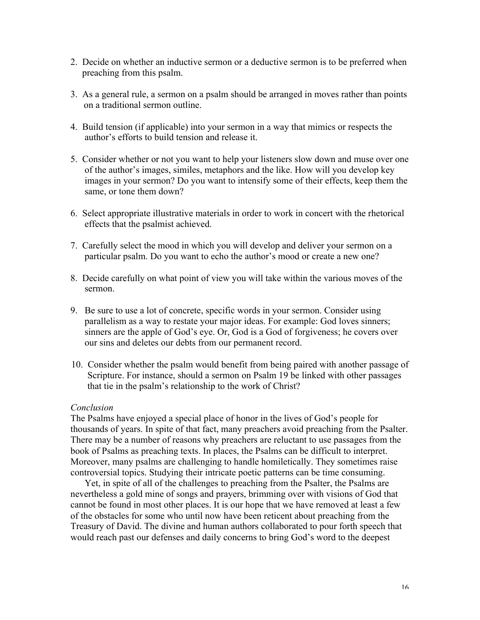- 2. Decide on whether an inductive sermon or a deductive sermon is to be preferred when preaching from this psalm.
- 3. As a general rule, a sermon on a psalm should be arranged in moves rather than points on a traditional sermon outline.
- 4. Build tension (if applicable) into your sermon in a way that mimics or respects the author's efforts to build tension and release it.
- 5. Consider whether or not you want to help your listeners slow down and muse over one of the author's images, similes, metaphors and the like. How will you develop key images in your sermon? Do you want to intensify some of their effects, keep them the same, or tone them down?
- 6. Select appropriate illustrative materials in order to work in concert with the rhetorical effects that the psalmist achieved.
- 7. Carefully select the mood in which you will develop and deliver your sermon on a particular psalm. Do you want to echo the author's mood or create a new one?
- 8. Decide carefully on what point of view you will take within the various moves of the sermon.
- 9. Be sure to use a lot of concrete, specific words in your sermon. Consider using parallelism as a way to restate your major ideas. For example: God loves sinners; sinners are the apple of God's eye. Or, God is a God of forgiveness; he covers over our sins and deletes our debts from our permanent record.
- 10. Consider whether the psalm would benefit from being paired with another passage of Scripture. For instance, should a sermon on Psalm 19 be linked with other passages that tie in the psalm's relationship to the work of Christ?

# *Conclusion*

The Psalms have enjoyed a special place of honor in the lives of God's people for thousands of years. In spite of that fact, many preachers avoid preaching from the Psalter. There may be a number of reasons why preachers are reluctant to use passages from the book of Psalms as preaching texts. In places, the Psalms can be difficult to interpret. Moreover, many psalms are challenging to handle homiletically. They sometimes raise controversial topics. Studying their intricate poetic patterns can be time consuming.

Yet, in spite of all of the challenges to preaching from the Psalter, the Psalms are nevertheless a gold mine of songs and prayers, brimming over with visions of God that cannot be found in most other places. It is our hope that we have removed at least a few of the obstacles for some who until now have been reticent about preaching from the Treasury of David. The divine and human authors collaborated to pour forth speech that would reach past our defenses and daily concerns to bring God's word to the deepest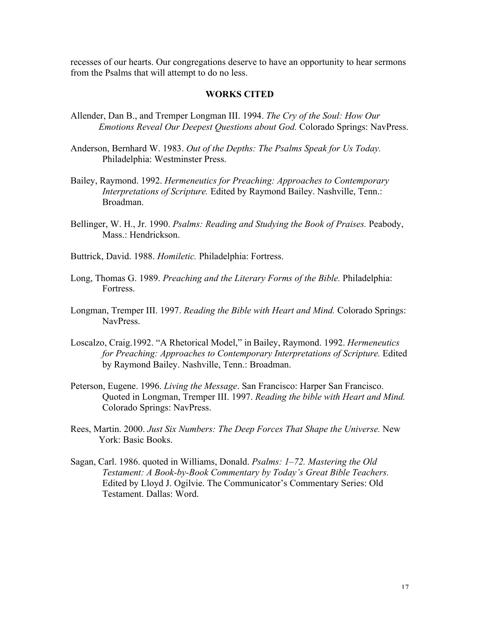recesses of our hearts. Our congregations deserve to have an opportunity to hear sermons from the Psalms that will attempt to do no less.

#### **WORKS CITED**

- Allender, Dan B., and Tremper Longman III. 1994. *The Cry of the Soul: How Our Emotions Reveal Our Deepest Questions about God.* Colorado Springs: NavPress.
- Anderson, Bernhard W. 1983. *Out of the Depths: The Psalms Speak for Us Today.* Philadelphia: Westminster Press.
- Bailey, Raymond. 1992. *Hermeneutics for Preaching: Approaches to Contemporary Interpretations of Scripture.* Edited by Raymond Bailey. Nashville, Tenn.: Broadman.
- Bellinger, W. H., Jr. 1990. *Psalms: Reading and Studying the Book of Praises.* Peabody, Mass.: Hendrickson.
- Buttrick, David. 1988. *Homiletic.* Philadelphia: Fortress.
- Long, Thomas G. 1989. *Preaching and the Literary Forms of the Bible.* Philadelphia: Fortress.
- Longman, Tremper III. 1997. *Reading the Bible with Heart and Mind.* Colorado Springs: NavPress.
- Loscalzo, Craig.1992. "A Rhetorical Model," in Bailey, Raymond. 1992. *Hermeneutics for Preaching: Approaches to Contemporary Interpretations of Scripture.* Edited by Raymond Bailey. Nashville, Tenn.: Broadman.
- Peterson, Eugene. 1996. *Living the Message*. San Francisco: Harper San Francisco. Quoted in Longman, Tremper III. 1997. *Reading the bible with Heart and Mind.* Colorado Springs: NavPress.
- Rees, Martin. 2000. *Just Six Numbers: The Deep Forces That Shape the Universe.* New York: Basic Books.
- Sagan, Carl. 1986. quoted in Williams, Donald. *Psalms: 1–72. Mastering the Old Testament: A Book-by-Book Commentary by Today's Great Bible Teachers.* Edited by Lloyd J. Ogilvie. The Communicator's Commentary Series: Old Testament. Dallas: Word.